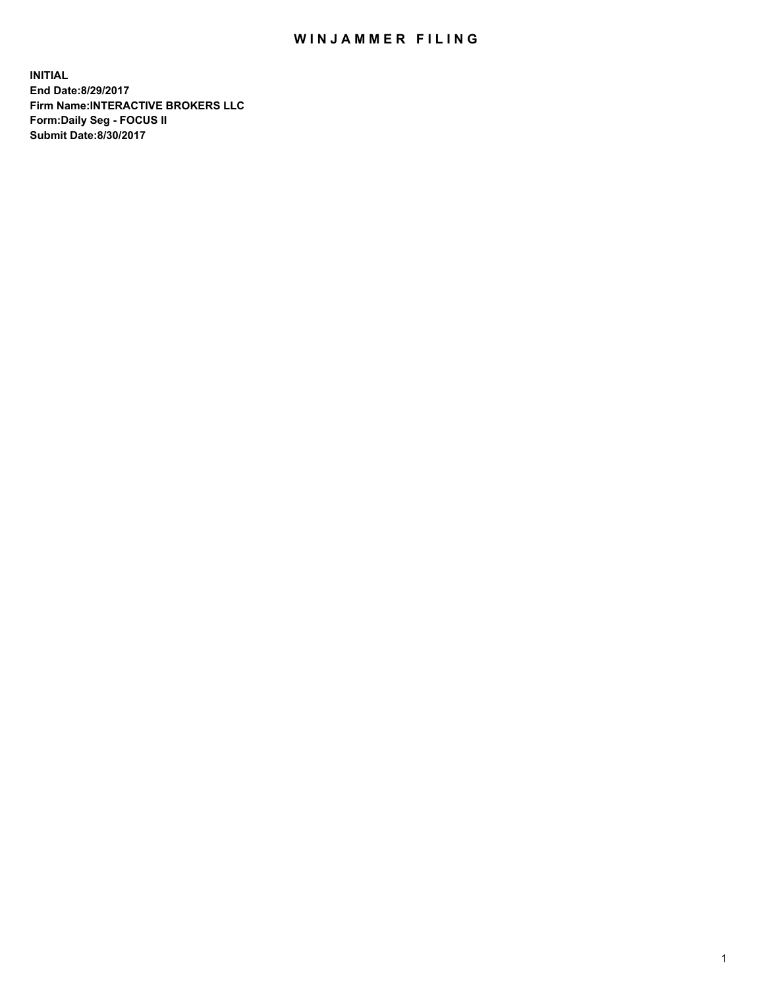## WIN JAMMER FILING

**INITIAL End Date:8/29/2017 Firm Name:INTERACTIVE BROKERS LLC Form:Daily Seg - FOCUS II Submit Date:8/30/2017**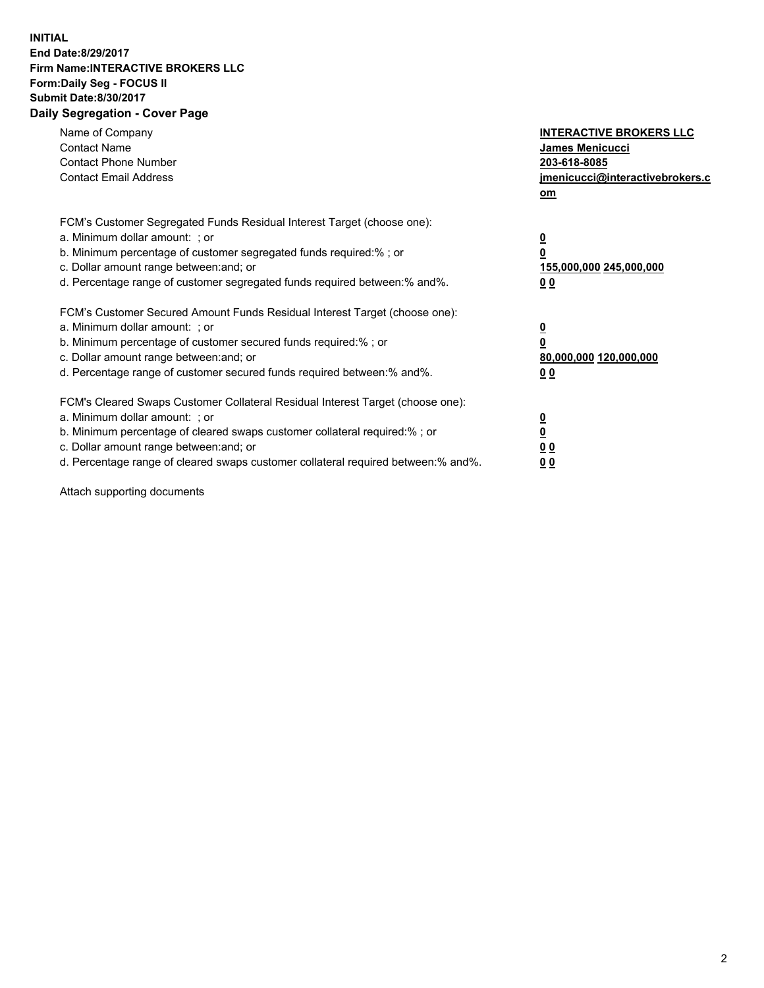## **INITIAL End Date:8/29/2017 Firm Name:INTERACTIVE BROKERS LLC Form:Daily Seg - FOCUS II Submit Date:8/30/2017 Daily Segregation - Cover Page**

| Name of Company<br><b>Contact Name</b><br><b>Contact Phone Number</b><br><b>Contact Email Address</b>                                                                                                                                                                                                                          | <b>INTERACTIVE BROKERS LLC</b><br><b>James Menicucci</b><br>203-618-8085<br>jmenicucci@interactivebrokers.c<br>om |
|--------------------------------------------------------------------------------------------------------------------------------------------------------------------------------------------------------------------------------------------------------------------------------------------------------------------------------|-------------------------------------------------------------------------------------------------------------------|
| FCM's Customer Segregated Funds Residual Interest Target (choose one):<br>a. Minimum dollar amount: ; or<br>b. Minimum percentage of customer segregated funds required:%; or<br>c. Dollar amount range between: and; or<br>d. Percentage range of customer segregated funds required between:% and%.                          | $\overline{\mathbf{0}}$<br>0<br>155,000,000 245,000,000<br>0 <sub>0</sub>                                         |
| FCM's Customer Secured Amount Funds Residual Interest Target (choose one):<br>a. Minimum dollar amount: ; or<br>b. Minimum percentage of customer secured funds required:%; or<br>c. Dollar amount range between: and; or<br>d. Percentage range of customer secured funds required between: % and %.                          | $\overline{\mathbf{0}}$<br>0<br>80,000,000 120,000,000<br>00                                                      |
| FCM's Cleared Swaps Customer Collateral Residual Interest Target (choose one):<br>a. Minimum dollar amount: ; or<br>b. Minimum percentage of cleared swaps customer collateral required:% ; or<br>c. Dollar amount range between: and; or<br>d. Percentage range of cleared swaps customer collateral required between:% and%. | $\overline{\mathbf{0}}$<br>$\overline{\mathbf{0}}$<br>0 <sub>0</sub><br><u>00</u>                                 |

Attach supporting documents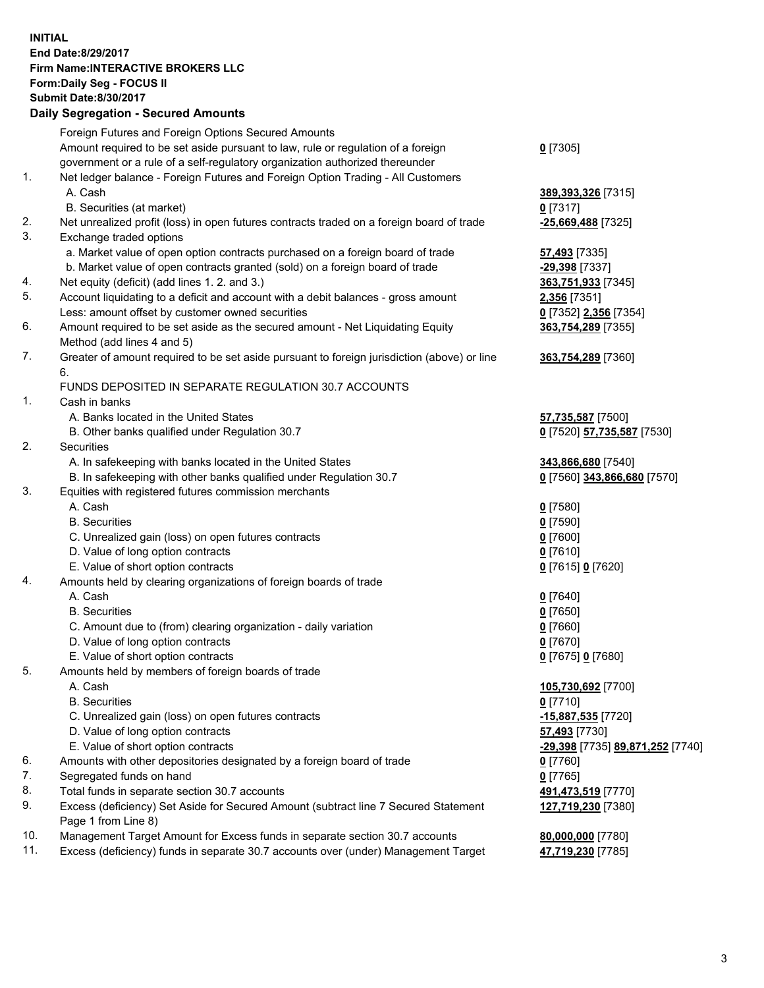## **INITIAL End Date:8/29/2017 Firm Name:INTERACTIVE BROKERS LLC Form:Daily Seg - FOCUS II Submit Date:8/30/2017 Daily Segregation - Secured Amounts**

|     | Dany Oogrogaach - Ocearea Amounta                                                                          |                                  |
|-----|------------------------------------------------------------------------------------------------------------|----------------------------------|
|     | Foreign Futures and Foreign Options Secured Amounts                                                        |                                  |
|     | Amount required to be set aside pursuant to law, rule or regulation of a foreign                           | $0$ [7305]                       |
|     | government or a rule of a self-regulatory organization authorized thereunder                               |                                  |
| 1.  | Net ledger balance - Foreign Futures and Foreign Option Trading - All Customers                            |                                  |
|     | A. Cash                                                                                                    | 389, 393, 326 [7315]             |
|     | B. Securities (at market)                                                                                  | $0$ [7317]                       |
| 2.  | Net unrealized profit (loss) in open futures contracts traded on a foreign board of trade                  | $-25,669,488$ [7325]             |
| 3.  | Exchange traded options                                                                                    |                                  |
|     | a. Market value of open option contracts purchased on a foreign board of trade                             | <b>57,493</b> [7335]             |
|     | b. Market value of open contracts granted (sold) on a foreign board of trade                               | -29,398 [7337]                   |
| 4.  | Net equity (deficit) (add lines 1.2. and 3.)                                                               | 363,751,933 [7345]               |
| 5.  | Account liquidating to a deficit and account with a debit balances - gross amount                          | 2,356 [7351]                     |
|     | Less: amount offset by customer owned securities                                                           | 0 [7352] 2,356 [7354]            |
| 6.  | Amount required to be set aside as the secured amount - Net Liquidating Equity                             | 363,754,289 [7355]               |
|     | Method (add lines 4 and 5)                                                                                 |                                  |
| 7.  | Greater of amount required to be set aside pursuant to foreign jurisdiction (above) or line                | 363,754,289 [7360]               |
|     | 6.                                                                                                         |                                  |
|     | FUNDS DEPOSITED IN SEPARATE REGULATION 30.7 ACCOUNTS                                                       |                                  |
| 1.  | Cash in banks                                                                                              |                                  |
|     | A. Banks located in the United States                                                                      | 57,735,587 [7500]                |
|     | B. Other banks qualified under Regulation 30.7                                                             | 0 [7520] 57,735,587 [7530]       |
| 2.  | Securities                                                                                                 |                                  |
|     | A. In safekeeping with banks located in the United States                                                  | 343,866,680 [7540]               |
|     | B. In safekeeping with other banks qualified under Regulation 30.7                                         | 0 [7560] 343,866,680 [7570]      |
| 3.  | Equities with registered futures commission merchants                                                      |                                  |
|     | A. Cash                                                                                                    | $0$ [7580]                       |
|     | <b>B.</b> Securities                                                                                       | $0$ [7590]                       |
|     | C. Unrealized gain (loss) on open futures contracts                                                        | $0$ [7600]                       |
|     | D. Value of long option contracts                                                                          | $0$ [7610]                       |
|     | E. Value of short option contracts                                                                         | 0 [7615] 0 [7620]                |
| 4.  | Amounts held by clearing organizations of foreign boards of trade                                          |                                  |
|     | A. Cash                                                                                                    | $0$ [7640]                       |
|     | <b>B.</b> Securities                                                                                       | $0$ [7650]                       |
|     | C. Amount due to (from) clearing organization - daily variation                                            | $0$ [7660]                       |
|     | D. Value of long option contracts                                                                          | $0$ [7670]                       |
|     | E. Value of short option contracts                                                                         | 0 [7675] 0 [7680]                |
| 5.  | Amounts held by members of foreign boards of trade                                                         |                                  |
|     | A. Cash                                                                                                    | 105,730,692 [7700]               |
|     | <b>B.</b> Securities                                                                                       | $0$ [7710]                       |
|     | C. Unrealized gain (loss) on open futures contracts                                                        | $-15,887,535$ [7720]             |
|     | D. Value of long option contracts                                                                          | 57,493 [7730]                    |
|     | E. Value of short option contracts                                                                         | -29,398 [7735] 89,871,252 [7740] |
| 6.  | Amounts with other depositories designated by a foreign board of trade                                     | 0 [7760]                         |
| 7.  | Segregated funds on hand                                                                                   | $0$ [7765]                       |
| 8.  | Total funds in separate section 30.7 accounts                                                              | 491,473,519 [7770]               |
| 9.  | Excess (deficiency) Set Aside for Secured Amount (subtract line 7 Secured Statement<br>Page 1 from Line 8) | 127,719,230 [7380]               |
| 10. | Management Target Amount for Excess funds in separate section 30.7 accounts                                | 80,000,000 [7780]                |
| 11. | Excess (deficiency) funds in separate 30.7 accounts over (under) Management Target                         | 47,719,230 [7785]                |
|     |                                                                                                            |                                  |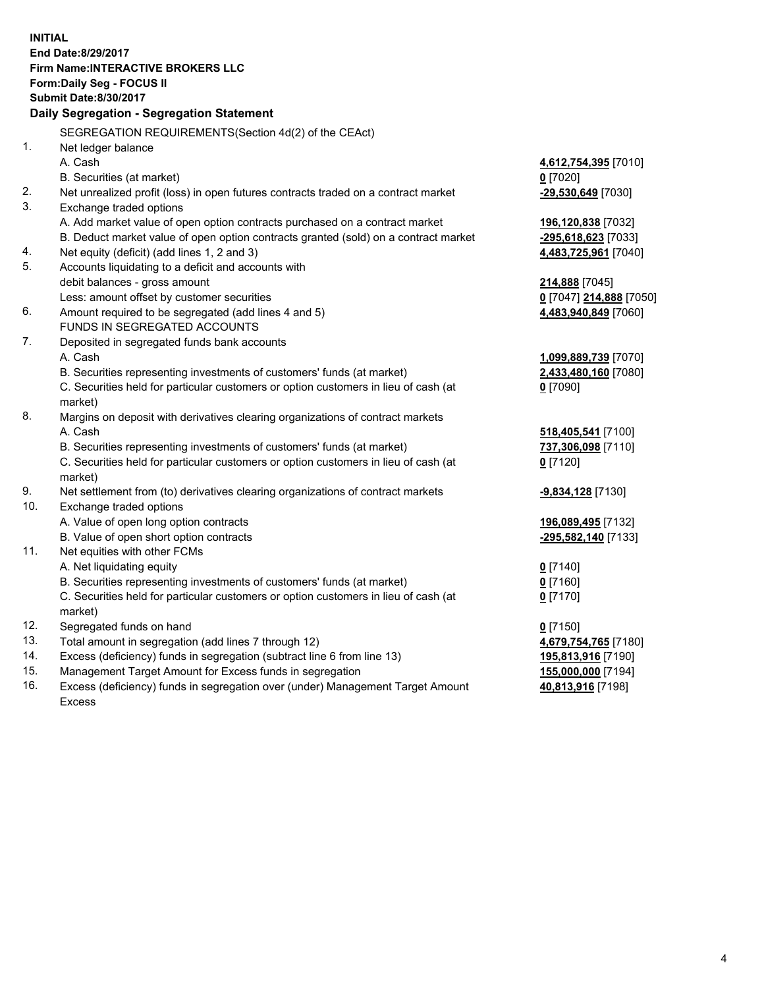**INITIAL End Date:8/29/2017 Firm Name:INTERACTIVE BROKERS LLC Form:Daily Seg - FOCUS II Submit Date:8/30/2017 Daily Segregation - Segregation Statement** SEGREGATION REQUIREMENTS(Section 4d(2) of the CEAct) 1. Net ledger balance A. Cash **4,612,754,395** [7010] B. Securities (at market) **0** [7020] 2. Net unrealized profit (loss) in open futures contracts traded on a contract market **-29,530,649** [7030] 3. Exchange traded options A. Add market value of open option contracts purchased on a contract market **196,120,838** [7032] B. Deduct market value of open option contracts granted (sold) on a contract market **-295,618,623** [7033] 4. Net equity (deficit) (add lines 1, 2 and 3) **4,483,725,961** [7040] 5. Accounts liquidating to a deficit and accounts with debit balances - gross amount **214,888** [7045] Less: amount offset by customer securities **0** [7047] **214,888** [7050] 6. Amount required to be segregated (add lines 4 and 5) **4,483,940,849** [7060] FUNDS IN SEGREGATED ACCOUNTS 7. Deposited in segregated funds bank accounts A. Cash **1,099,889,739** [7070] B. Securities representing investments of customers' funds (at market) **2,433,480,160** [7080] C. Securities held for particular customers or option customers in lieu of cash (at market) **0** [7090] 8. Margins on deposit with derivatives clearing organizations of contract markets A. Cash **518,405,541** [7100] B. Securities representing investments of customers' funds (at market) **737,306,098** [7110] C. Securities held for particular customers or option customers in lieu of cash (at market) **0** [7120] 9. Net settlement from (to) derivatives clearing organizations of contract markets **-9,834,128** [7130] 10. Exchange traded options A. Value of open long option contracts **196,089,495** [7132] B. Value of open short option contracts **-295,582,140** [7133] 11. Net equities with other FCMs A. Net liquidating equity **0** [7140] B. Securities representing investments of customers' funds (at market) **0** [7160] C. Securities held for particular customers or option customers in lieu of cash (at market) **0** [7170] 12. Segregated funds on hand **0** [7150] 13. Total amount in segregation (add lines 7 through 12) **4,679,754,765** [7180] 14. Excess (deficiency) funds in segregation (subtract line 6 from line 13) **195,813,916** [7190] 15. Management Target Amount for Excess funds in segregation **155,000,000** [7194] **40,813,916** [7198]

16. Excess (deficiency) funds in segregation over (under) Management Target Amount Excess